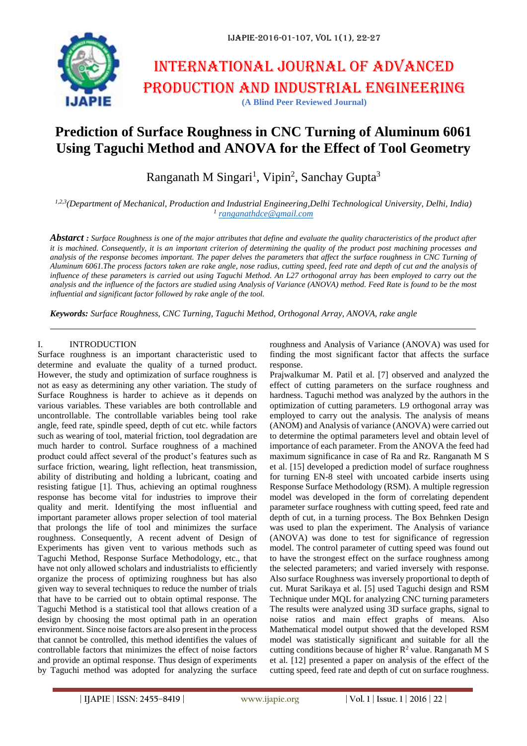

# International journal of advanced production and industrial engineering **(A Blind Peer Reviewed Journal)**

## **Prediction of Surface Roughness in CNC Turning of Aluminum 6061 Using Taguchi Method and ANOVA for the Effect of Tool Geometry**

Ranganath M Singari<sup>1</sup>, Vipin<sup>2</sup>, Sanchay Gupta<sup>3</sup>

*1,2,3(Department of Mechanical, Production and Industrial Engineering,Delhi Technological University, Delhi, India) 1 [ranganathdce@gmail.com](mailto:ranganathdce@gmail.com)*

*Abstarct : Surface Roughness is one of the major attributes that define and evaluate the quality characteristics of the product after it is machined. Consequently, it is an important criterion of determining the quality of the product post machining processes and analysis of the response becomes important. The paper delves the parameters that affect the surface roughness in CNC Turning of Aluminum 6061.The process factors taken are rake angle, nose radius, cutting speed, feed rate and depth of cut and the analysis of influence of these parameters is carried out using Taguchi Method. An L27 orthogonal array has been employed to carry out the analysis and the influence of the factors are studied using Analysis of Variance (ANOVA) method. Feed Rate is found to be the most influential and significant factor followed by rake angle of the tool.*

*Keywords: Surface Roughness, CNC Turning, Taguchi Method, Orthogonal Array, ANOVA, rake angle*

#### I. INTRODUCTION

Surface roughness is an important characteristic used to determine and evaluate the quality of a turned product. However, the study and optimization of surface roughness is not as easy as determining any other variation. The study of Surface Roughness is harder to achieve as it depends on various variables. These variables are both controllable and uncontrollable. The controllable variables being tool rake angle, feed rate, spindle speed, depth of cut etc. while factors such as wearing of tool, material friction, tool degradation are much harder to control. Surface roughness of a machined product could affect several of the product's features such as surface friction, wearing, light reflection, heat transmission, ability of distributing and holding a lubricant, coating and resisting fatigue [1]. Thus, achieving an optimal roughness response has become vital for industries to improve their quality and merit. Identifying the most influential and important parameter allows proper selection of tool material that prolongs the life of tool and minimizes the surface roughness. Consequently, A recent advent of Design of Experiments has given vent to various methods such as Taguchi Method, Response Surface Methodology, etc., that have not only allowed scholars and industrialists to efficiently organize the process of optimizing roughness but has also given way to several techniques to reduce the number of trials that have to be carried out to obtain optimal response. The Taguchi Method is a statistical tool that allows creation of a design by choosing the most optimal path in an operation environment. Since noise factors are also present in the process that cannot be controlled, this method identifies the values of controllable factors that minimizes the effect of noise factors and provide an optimal response. Thus design of experiments by Taguchi method was adopted for analyzing the surface

roughness and Analysis of Variance (ANOVA) was used for finding the most significant factor that affects the surface response.

Prajwalkumar M. Patil et al. [7] observed and analyzed the effect of cutting parameters on the surface roughness and hardness. Taguchi method was analyzed by the authors in the optimization of cutting parameters. L9 orthogonal array was employed to carry out the analysis. The analysis of means (ANOM) and Analysis of variance (ANOVA) were carried out to determine the optimal parameters level and obtain level of importance of each parameter. From the ANOVA the feed had maximum significance in case of Ra and Rz. Ranganath M S et al. [15] developed a prediction model of surface roughness for turning EN-8 steel with uncoated carbide inserts using Response Surface Methodology (RSM). A multiple regression model was developed in the form of correlating dependent parameter surface roughness with cutting speed, feed rate and depth of cut, in a turning process. The Box Behnken Design was used to plan the experiment. The Analysis of variance (ANOVA) was done to test for significance of regression model. The control parameter of cutting speed was found out to have the strongest effect on the surface roughness among the selected parameters; and varied inversely with response. Also surface Roughness was inversely proportional to depth of cut. Murat Sarikaya et al. [5] used Taguchi design and RSM Technique under MQL for analyzing CNC turning parameters The results were analyzed using 3D surface graphs, signal to noise ratios and main effect graphs of means. Also Mathematical model output showed that the developed RSM model was statistically significant and suitable for all the cutting conditions because of higher  $R^2$  value. Ranganath M S et al. [12] presented a paper on analysis of the effect of the cutting speed, feed rate and depth of cut on surface roughness.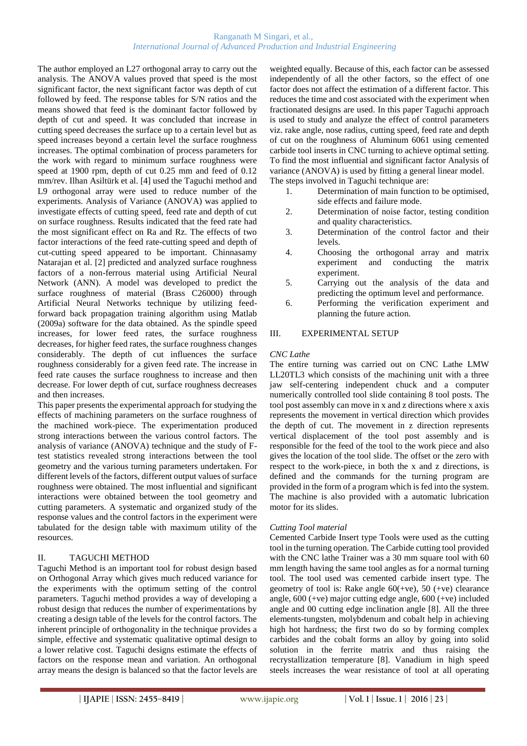#### Ranganath M Singari, et al., *International Journal of Advanced Production and Industrial Engineering*

The author employed an L27 orthogonal array to carry out the analysis. The ANOVA values proved that speed is the most significant factor, the next significant factor was depth of cut followed by feed. The response tables for S/N ratios and the means showed that feed is the dominant factor followed by depth of cut and speed. It was concluded that increase in cutting speed decreases the surface up to a certain level but as speed increases beyond a certain level the surface roughness increases. The optimal combination of process parameters for the work with regard to minimum surface roughness were speed at 1900 rpm, depth of cut 0.25 mm and feed of 0.12 mm/rev. Ilhan Asiltürk et al. [4] used the Taguchi method and L9 orthogonal array were used to reduce number of the experiments. Analysis of Variance (ANOVA) was applied to investigate effects of cutting speed, feed rate and depth of cut on surface roughness. Results indicated that the feed rate had the most significant effect on Ra and Rz. The effects of two factor interactions of the feed rate-cutting speed and depth of cut-cutting speed appeared to be important. Chinnasamy Natarajan et al. [2] predicted and analyzed surface roughness factors of a non-ferrous material using Artificial Neural Network (ANN). A model was developed to predict the surface roughness of material (Brass C26000) through Artificial Neural Networks technique by utilizing feedforward back propagation training algorithm using Matlab (2009a) software for the data obtained. As the spindle speed increases, for lower feed rates, the surface roughness decreases, for higher feed rates, the surface roughness changes considerably. The depth of cut influences the surface roughness considerably for a given feed rate. The increase in feed rate causes the surface roughness to increase and then decrease. For lower depth of cut, surface roughness decreases and then increases.

This paper presents the experimental approach for studying the effects of machining parameters on the surface roughness of the machined work-piece. The experimentation produced strong interactions between the various control factors. The analysis of variance (ANOVA) technique and the study of Ftest statistics revealed strong interactions between the tool geometry and the various turning parameters undertaken. For different levels of the factors, different output values of surface roughness were obtained. The most influential and significant interactions were obtained between the tool geometry and cutting parameters. A systematic and organized study of the response values and the control factors in the experiment were tabulated for the design table with maximum utility of the resources.

#### II. TAGUCHI METHOD

Taguchi Method is an important tool for robust design based on Orthogonal Array which gives much reduced variance for the experiments with the optimum setting of the control parameters. Taguchi method provides a way of developing a robust design that reduces the number of experimentations by creating a design table of the levels for the control factors. The inherent principle of orthogonality in the technique provides a simple, effective and systematic qualitative optimal design to a lower relative cost. Taguchi designs estimate the effects of factors on the response mean and variation. An orthogonal array means the design is balanced so that the factor levels are

weighted equally. Because of this, each factor can be assessed independently of all the other factors, so the effect of one factor does not affect the estimation of a different factor. This reduces the time and cost associated with the experiment when fractionated designs are used. In this paper Taguchi approach is used to study and analyze the effect of control parameters viz. rake angle, nose radius, cutting speed, feed rate and depth of cut on the roughness of Aluminum 6061 using cemented carbide tool inserts in CNC turning to achieve optimal setting. To find the most influential and significant factor Analysis of variance (ANOVA) is used by fitting a general linear model. The steps involved in Taguchi technique are:

- 1. Determination of main function to be optimised, side effects and failure mode.
- 2. Determination of noise factor, testing condition and quality characteristics.
- 3. Determination of the control factor and their levels.
- 4. Choosing the orthogonal array and matrix experiment and conducting the matrix experiment.
- 5. Carrying out the analysis of the data and predicting the optimum level and performance.
- 6. Performing the verification experiment and planning the future action.

#### III. EXPERIMENTAL SETUP

#### *CNC Lathe*

The entire turning was carried out on CNC Lathe LMW LL20TL3 which consists of the machining unit with a three jaw self-centering independent chuck and a computer numerically controlled tool slide containing 8 tool posts. The tool post assembly can move in x and z directions where x axis represents the movement in vertical direction which provides the depth of cut. The movement in z direction represents vertical displacement of the tool post assembly and is responsible for the feed of the tool to the work piece and also gives the location of the tool slide. The offset or the zero with respect to the work-piece, in both the x and z directions, is defined and the commands for the turning program are provided in the form of a program which is fed into the system. The machine is also provided with a automatic lubrication motor for its slides.

#### *Cutting Tool material*

Cemented Carbide Insert type Tools were used as the cutting tool in the turning operation. The Carbide cutting tool provided with the CNC lathe Trainer was a 30 mm square tool with 60 mm length having the same tool angles as for a normal turning tool. The tool used was cemented carbide insert type. The geometry of tool is: Rake angle  $60(+ve)$ , 50  $(+ve)$  clearance angle, 600 (+ve) major cutting edge angle, 600 (+ve) included angle and 00 cutting edge inclination angle [8]. All the three elements-tungsten, molybdenum and cobalt help in achieving high hot hardness; the first two do so by forming complex carbides and the cobalt forms an alloy by going into solid solution in the ferrite matrix and thus raising the recrystallization temperature [8]. Vanadium in high speed steels increases the wear resistance of tool at all operating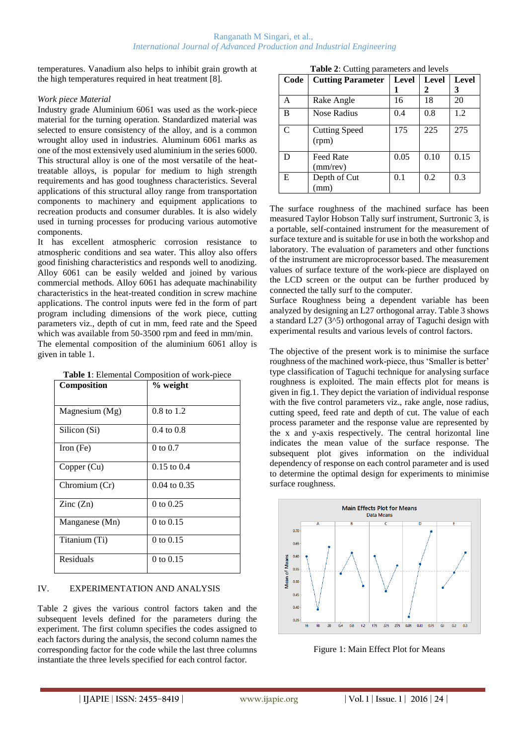temperatures. Vanadium also helps to inhibit grain growth at the high temperatures required in heat treatment [8].

#### *Work piece Material*

Industry grade Aluminium 6061 was used as the work-piece material for the turning operation. Standardized material was selected to ensure consistency of the alloy, and is a common wrought alloy used in industries. Aluminum 6061 marks as one of the most extensively used aluminium in the series 6000. This structural alloy is one of the most versatile of the heattreatable alloys, is popular for medium to high strength requirements and has good toughness characteristics. Several applications of this structural alloy range from transportation components to machinery and equipment applications to recreation products and consumer durables. It is also widely used in turning processes for producing various automotive components.

It has excellent atmospheric corrosion resistance to atmospheric conditions and sea water. This alloy also offers good finishing characteristics and responds well to anodizing. Alloy 6061 can be easily welded and joined by various commercial methods. Alloy 6061 has adequate machinability characteristics in the heat-treated condition in screw machine applications. The control inputs were fed in the form of part program including dimensions of the work piece, cutting parameters viz., depth of cut in mm, feed rate and the Speed which was available from 50-3500 rpm and feed in mm/min. The elemental composition of the aluminium 6061 alloy is

given in table 1.

| <b>Composition</b>       | % weight              |
|--------------------------|-----------------------|
|                          |                       |
| Magnesium (Mg)           | 0.8 to 1.2            |
| Silicon (Si)             | $0.4 \text{ to } 0.8$ |
| Iron (Fe)                | $0 \text{ to } 0.7$   |
| Copper (Cu)              | $0.15$ to $0.4$       |
| Chromium (Cr)            | $0.04$ to $0.35$      |
| $\text{Zinc}(\text{Zn})$ | 0 to $0.25$           |
| Manganese (Mn)           | 0 to $0.15$           |
| Titanium (Ti)            | 0 to 0.15             |
| Residuals                | 0 to $0.15$           |

**Table 1**: Elemental Composition of work-piece

## IV. EXPERIMENTATION AND ANALYSIS

Table 2 gives the various control factors taken and the subsequent levels defined for the parameters during the experiment. The first column specifies the codes assigned to each factors during the analysis, the second column names the corresponding factor for the code while the last three columns instantiate the three levels specified for each control factor.

**Table 2**: Cutting parameters and levels

| Code | <b>Cutting Parameter</b>      | Level | <b>Level</b> | Level |
|------|-------------------------------|-------|--------------|-------|
|      |                               |       | 2            | 3     |
| A    | Rake Angle                    | 16    | 18           | 20    |
| в    | Nose Radius                   | 0.4   | 0.8          | 1.2   |
| C    | <b>Cutting Speed</b><br>(rpm) | 175   | 225          | 275   |
| D    | <b>Feed Rate</b><br>(mm/rev)  | 0.05  | 0.10         | 0.15  |
| E    | Depth of Cut<br>(mm)          | 0.1   | 0.2          | 0.3   |

The surface roughness of the machined surface has been measured Taylor Hobson Tally surf instrument, Surtronic 3, is a portable, self-contained instrument for the measurement of surface texture and is suitable for use in both the workshop and laboratory. The evaluation of parameters and other functions of the instrument are microprocessor based. The measurement values of surface texture of the work-piece are displayed on the LCD screen or the output can be further produced by connected the tally surf to the computer.

Surface Roughness being a dependent variable has been analyzed by designing an L27 orthogonal array. Table 3 shows a standard L27 (3^5) orthogonal array of Taguchi design with experimental results and various levels of control factors.

The objective of the present work is to minimise the surface roughness of the machined work-piece, thus 'Smaller is better' type classification of Taguchi technique for analysing surface roughness is exploited. The main effects plot for means is given in fig.1. They depict the variation of individual response with the five control parameters viz., rake angle, nose radius, cutting speed, feed rate and depth of cut. The value of each process parameter and the response value are represented by the x and y-axis respectively. The central horizontal line indicates the mean value of the surface response. The subsequent plot gives information on the individual dependency of response on each control parameter and is used to determine the optimal design for experiments to minimise surface roughness.



Figure 1: Main Effect Plot for Means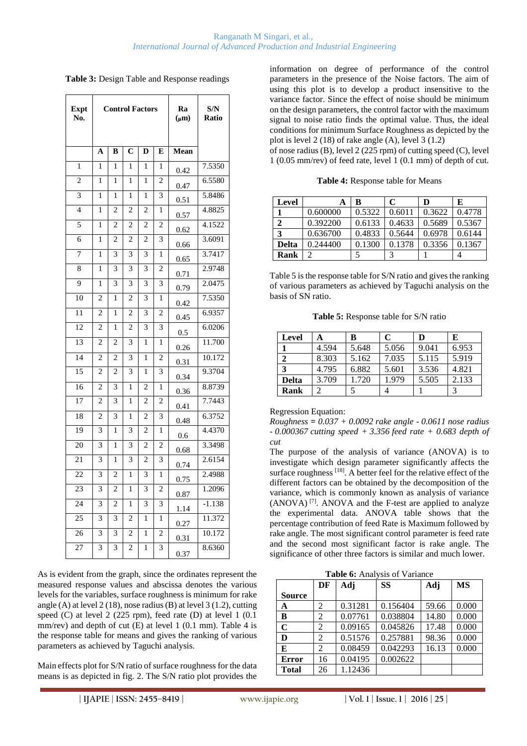| Table 3: Design Table and Response readings |  |  |  |  |  |
|---------------------------------------------|--|--|--|--|--|
|---------------------------------------------|--|--|--|--|--|

| <b>Expt</b><br>No. | <b>Control Factors</b> |                |                |                | Ra<br>$(\mu m)$ | S/N<br><b>Ratio</b> |          |
|--------------------|------------------------|----------------|----------------|----------------|-----------------|---------------------|----------|
|                    | A                      | B              | $\overline{C}$ | D              | E               | Mean                |          |
| 1                  | 1                      | 1              | 1              | 1              | 1               | 0.42                | 7.5350   |
| $\overline{c}$     | 1                      | 1              | 1              | 1              | $\overline{c}$  | 0.47                | 6.5580   |
| 3                  | 1                      | 1              | 1              | 1              | 3               | 0.51                | 5.8486   |
| $\overline{4}$     | $\mathbf{1}$           | $\overline{c}$ | $\overline{c}$ | $\overline{c}$ | $\mathbf{1}$    | 0.57                | 4.8825   |
| 5                  | 1                      | $\overline{c}$ | $\overline{c}$ | $\overline{2}$ | $\overline{c}$  | 0.62                | 4.1522   |
| 6                  | 1                      | $\mathfrak{D}$ | $\overline{2}$ | $\overline{c}$ | 3               | 0.66                | 3.6091   |
| 7                  | 1                      | 3              | 3              | 3              | 1               | 0.65                | 3.7417   |
| 8                  | 1                      | 3              | 3              | 3              | $\overline{c}$  | 0.71                | 2.9748   |
| 9                  | 1                      | 3              | 3              | 3              | 3               | 0.79                | 2.0475   |
| 10                 | 2                      | 1              | $\overline{2}$ | 3              | 1               | 0.42                | 7.5350   |
| 11                 | $\overline{c}$         | 1              | $\overline{c}$ | 3              | $\overline{2}$  | 0.45                | 6.9357   |
| 12                 | $\overline{c}$         | 1              | $\overline{c}$ | 3              | 3               | 0.5                 | 6.0206   |
| 13                 | $\overline{c}$         | $\overline{c}$ | 3              | 1              | $\mathbf{1}$    | 0.26                | 11.700   |
| 14                 | $\overline{c}$         | $\overline{2}$ | 3              | 1              | $\overline{c}$  | 0.31                | 10.172   |
| 15                 | $\overline{c}$         | $\overline{c}$ | 3              | 1              | 3               | 0.34                | 9.3704   |
| 16                 | $\overline{2}$         | 3              | 1              | $\overline{2}$ | 1               | 0.36                | 8.8739   |
| 17                 | $\overline{2}$         | 3              | 1              | $\overline{2}$ | $\overline{c}$  | 0.41                | 7.7443   |
| 18                 | $\overline{c}$         | 3              | 1              | $\overline{2}$ | 3               | 0.48                | 6.3752   |
| 19                 | 3                      | 1              | 3              | $\overline{c}$ | 1               | 0.6                 | 4.4370   |
| 20                 | 3                      | $\mathbf{1}$   | 3              | $\overline{2}$ | $\overline{c}$  | 0.68                | 3.3498   |
| 21                 | 3                      | 1              | 3              | 2              | 3               | 0.74                | 2.6154   |
| 22                 | 3                      | $\mathfrak{D}$ | 1              | 3              | 1               | 0.75                | 2.4988   |
| 23                 | 3                      | $\overline{2}$ | 1              | 3              | $\overline{2}$  | 0.87                | 1.2096   |
| 24                 | 3                      | $\overline{c}$ | 1              | 3              | 3               | 1.14                | $-1.138$ |
| 25                 | 3                      | 3              | 2              | 1              | 1               | 0.27                | 11.372   |
| 26                 | 3                      | 3              | $\overline{2}$ | 1              | $\overline{c}$  | 0.31                | 10.172   |
| 27                 | 3                      | 3              | $\overline{2}$ | 1              | 3               | 0.37                | 8.6360   |

As is evident from the graph, since the ordinates represent the measured response values and abscissa denotes the various levels for the variables, surface roughness is minimum for rake angle (A) at level 2 (18), nose radius (B) at level 3 (1.2), cutting speed (C) at level 2 (225 rpm), feed rate (D) at level 1 (0.1 mm/rev) and depth of cut (E) at level 1 (0.1 mm). Table 4 is the response table for means and gives the ranking of various parameters as achieved by Taguchi analysis.

Main effects plot for S/N ratio of surface roughness for the data means is as depicted in fig. 2. The S/N ratio plot provides the information on degree of performance of the control parameters in the presence of the Noise factors. The aim of using this plot is to develop a product insensitive to the variance factor. Since the effect of noise should be minimum on the design parameters, the control factor with the maximum signal to noise ratio finds the optimal value. Thus, the ideal conditions for minimum Surface Roughness as depicted by the plot is level 2 (18) of rake angle (A), level 3  $(1.2)$ 

of nose radius (B), level 2 (225 rpm) of cutting speed (C), level 1 (0.05 mm/rev) of feed rate, level 1 (0.1 mm) of depth of cut.

**Table 4:** Response table for Means

| Level                       | A        | в      | C      | D      | E      |
|-----------------------------|----------|--------|--------|--------|--------|
|                             | 0.600000 | 0.5322 | 0.6011 | 0.3622 | 0.4778 |
| $\mathcal{D}_{\mathcal{L}}$ | 0.392200 | 0.6133 | 0.4633 | 0.5689 | 0.5367 |
| 3                           | 0.636700 | 0.4833 | 0.5644 | 0.6978 | 0.6144 |
| <b>Delta</b>                | 0.244400 | 0.1300 | 0.1378 | 0.3356 | 0.1367 |
| Rank                        |          |        | 2      |        |        |

Table 5 is the response table for S/N ratio and gives the ranking of various parameters as achieved by Taguchi analysis on the basis of SN ratio.

**Table 5:** Response table for S/N ratio

| Level | A     | В     | C     | D     | E     |
|-------|-------|-------|-------|-------|-------|
|       | 4.594 | 5.648 | 5.056 | 9.041 | 6.953 |
|       | 8.303 | 5.162 | 7.035 | 5.115 | 5.919 |
| 3     | 4.795 | 6.882 | 5.601 | 3.536 | 4.821 |
| Delta | 3.709 | 1.720 | 1.979 | 5.505 | 2.133 |
| Rank  |       |       |       |       |       |

Regression Equation:

*Roughness = 0.037 + 0.0092 rake angle - 0.0611 nose radius - 0.000367 cutting speed + 3.356 feed rate + 0.683 depth of cut*

The purpose of the analysis of variance (ANOVA) is to investigate which design parameter significantly affects the surface roughness <sup>[18]</sup>. A better feel for the relative effect of the different factors can be obtained by the decomposition of the variance, which is commonly known as analysis of variance (ANOVA) [7]. ANOVA and the F-test are applied to analyze the experimental data. ANOVA table shows that the percentage contribution of feed Rate is Maximum followed by rake angle. The most significant control parameter is feed rate and the second most significant factor is rake angle. The significance of other three factors is similar and much lower.

**Table 6:** Analysis of Variance

|               | DF             | Adj     | <b>SS</b> | Adj   | <b>MS</b> |
|---------------|----------------|---------|-----------|-------|-----------|
| <b>Source</b> |                |         |           |       |           |
| A             | $\mathfrak{D}$ | 0.31281 | 0.156404  | 59.66 | 0.000     |
| B             | 2              | 0.07761 | 0.038804  | 14.80 | 0.000     |
| $\mathbf C$   | 2              | 0.09165 | 0.045826  | 17.48 | 0.000     |
| D             | $\overline{2}$ | 0.51576 | 0.257881  | 98.36 | 0.000     |
| E             | 2              | 0.08459 | 0.042293  | 16.13 | 0.000     |
| <b>Error</b>  | 16             | 0.04195 | 0.002622  |       |           |
| <b>Total</b>  | 26             | 1.12436 |           |       |           |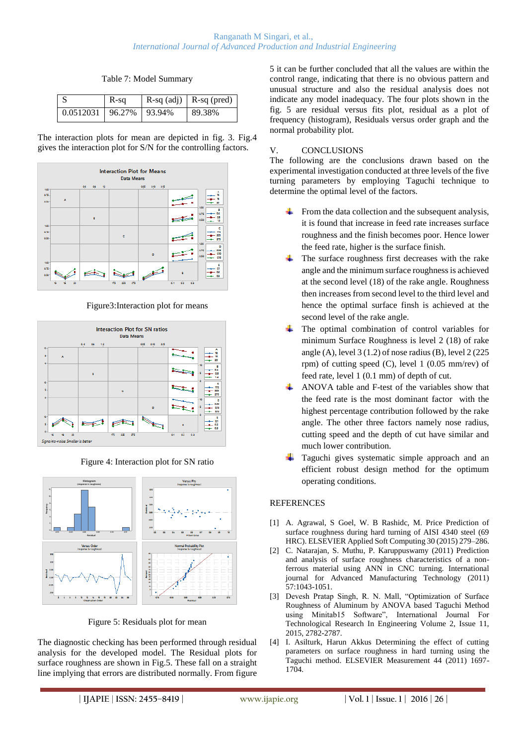Table 7: Model Summary

|                                               | $R-sq$ | $R-sq$ (adj) $R-sq$ (pred) |
|-----------------------------------------------|--------|----------------------------|
| $\vert 0.0512031 \vert 96.27\% \vert 93.94\%$ |        | 89.38%                     |

The interaction plots for mean are depicted in fig. 3. Fig.4 gives the interaction plot for S/N for the controlling factors.



Figure3:Interaction plot for means



Figure 4: Interaction plot for SN ratio



Figure 5: Residuals plot for mean

The diagnostic checking has been performed through residual analysis for the developed model. The Residual plots for surface roughness are shown in Fig.5. These fall on a straight line implying that errors are distributed normally. From figure

5 it can be further concluded that all the values are within the control range, indicating that there is no obvious pattern and unusual structure and also the residual analysis does not indicate any model inadequacy. The four plots shown in the fig. 5 are residual versus fits plot, residual as a plot of frequency (histogram), Residuals versus order graph and the normal probability plot.

### V. CONCLUSIONS

The following are the conclusions drawn based on the experimental investigation conducted at three levels of the five turning parameters by employing Taguchi technique to determine the optimal level of the factors.

- $\overline{\phantom{a}}$  From the data collection and the subsequent analysis, it is found that increase in feed rate increases surface roughness and the finish becomes poor. Hence lower the feed rate, higher is the surface finish.
- The surface roughness first decreases with the rake angle and the minimum surface roughness is achieved at the second level (18) of the rake angle. Roughness then increases from second level to the third level and hence the optimal surface finsh is achieved at the second level of the rake angle.
- The optimal combination of control variables for minimum Surface Roughness is level 2 (18) of rake angle (A), level  $3(1.2)$  of nose radius (B), level  $2(225)$ rpm) of cutting speed (C), level 1 (0.05 mm/rev) of feed rate, level 1 (0.1 mm) of depth of cut.
- ANOVA table and F-test of the variables show that the feed rate is the most dominant factor with the highest percentage contribution followed by the rake angle. The other three factors namely nose radius, cutting speed and the depth of cut have similar and much lower contribution.
- Taguchi gives systematic simple approach and an efficient robust design method for the optimum operating conditions.

### REFERENCES

- [1] A. Agrawal, S Goel, W. B Rashidc, M. Price Prediction of surface roughness during hard turning of AISI 4340 steel (69 HRC). ELSEVIER Applied Soft Computing 30 (2015) 279–286.
- [2] C. Natarajan, S. Muthu, P. Karuppuswamy (2011) Prediction and analysis of surface roughness characteristics of a nonferrous material using ANN in CNC turning. International journal for Advanced Manufacturing Technology (2011) 57:1043-1051.
- [3] Devesh Pratap Singh, R. N. Mall, "Optimization of Surface Roughness of Aluminum by ANOVA based Taguchi Method using Minitab15 Software", International Journal For Technological Research In Engineering Volume 2, Issue 11, 2015, 2782-2787.
- [4] I. Asilturk, Harun Akkus Determining the effect of cutting parameters on surface roughness in hard turning using the Taguchi method. ELSEVIER Measurement 44 (2011) 1697- 1704.